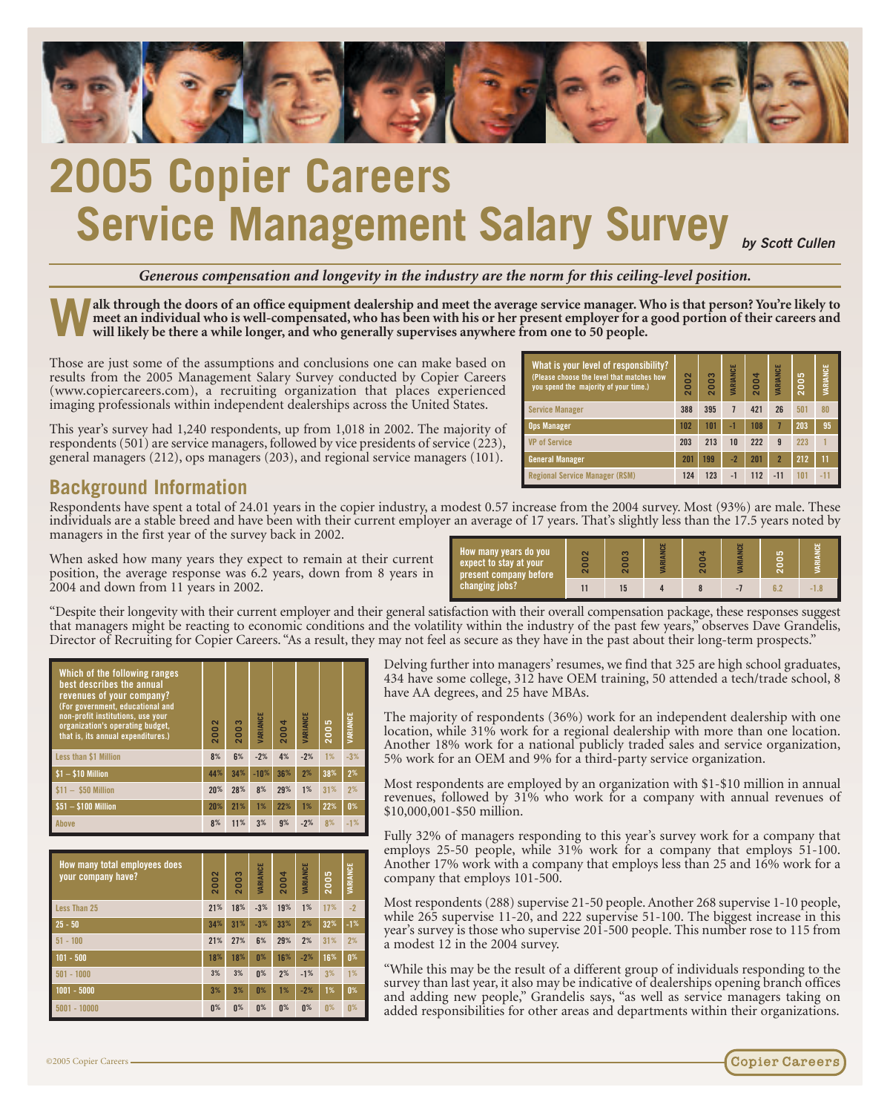

# **2005 Copier Careers Service Management Salary Survey** *by Scott Cullen*

*Generous compensation and longevity in the industry are the norm for this ceiling-level position.*

**Walk through the doors of an office equipment dealership and meet the average service manager. Who is that person? You're likely to meet an individual who is well-compensated, who has been with his or her present employer for a good portion of their careers and will likely be there a while longer, and who generally supervises anywhere from one to 50 people.**

Those are just some of the assumptions and conclusions one can make based on results from the 2005 Management Salary Survey conducted by Copier Careers (www.copiercareers.com), a recruiting organization that places experienced imaging professionals within independent dealerships across the United States.

This year's survey had 1,240 respondents, up from 1,018 in 2002. The majority of respondents (501) are service managers, followed by vice presidents of service (223), general managers (212), ops managers (203), and regional service managers (101).

| What is your level of responsibility?<br>(Please choose the level that matches how<br>you spend the majority of your time.) | $\sim$<br>۵<br>ō<br>$\overline{\mathbf{c}}$ | 003<br>$\overline{\mathbf{C}}$ | VARIANCE | 004<br>$\bar{\mathbf{c}}$ | VARIANCE     | <b>SO0</b><br>$\sim$ | VARIANCE |
|-----------------------------------------------------------------------------------------------------------------------------|---------------------------------------------|--------------------------------|----------|---------------------------|--------------|----------------------|----------|
| <b>Service Manager</b>                                                                                                      | 388                                         | 395                            | 7        | 421                       | 26           | 501                  | 80       |
| <b>Ops Manager</b>                                                                                                          | 102                                         | 1 <sub>01</sub>                | -1       | 108                       |              | 203                  | 95       |
| <b>VP of Service</b>                                                                                                        | 203                                         | 213                            | 10       | 222                       | $\mathbf{q}$ | 223                  |          |
| <b>General Manager</b>                                                                                                      | 201                                         | 199                            | $-2$     | 201                       |              | 212                  | 11       |
| <b>Regional Service Manager (RSM)</b>                                                                                       | 124                                         | 123                            | $-1$     | 112                       | $-11$        | 101                  | $-11$    |

### **Background Information**

Respondents have spent a total of 24.01 years in the copier industry, a modest 0.57 increase from the 2004 survey. Most (93%) are male. These individuals are a stable breed and have been with their current employer an average of 17 years. That's slightly less than the 17.5 years noted by managers in the first year of the survey back in 2002.

When asked how many years they expect to remain at their current position, the average response was 6.2 years, down from 8 years 2004 and down from 11 years in 2002.

"Despite their longevity with their current employer and their generally compensation with their overall compensation with the response responsion package. that managers might be reacting to economic conditions and the industry  $\eta$ Director of Recruiting for Copier Careers. "As a result, they may

| Which of the following ranges<br>best describes the annual<br>revenues of your company?<br>(For government, educational and<br>non-profit institutions, use your<br>organization's operating budget,<br>that is, its annual expenditures.) | 002<br>$\overline{\mathbf{c}}$ | <b>DO3</b><br>$\overline{\mathbf{c}}$ | VARIANCE | 004<br>$\overline{\mathbf{c}}$ | VARIANCE | 2005 | VARIANCE       |
|--------------------------------------------------------------------------------------------------------------------------------------------------------------------------------------------------------------------------------------------|--------------------------------|---------------------------------------|----------|--------------------------------|----------|------|----------------|
| Less than \$1 Million                                                                                                                                                                                                                      | 8%                             | 6%                                    | $-2%$    | 4%                             | $-2%$    | 1%   | $-3%$          |
| $$1 - $10$ Million                                                                                                                                                                                                                         | 44%                            | 34%                                   | $-10%$   | 36%                            | 2%       | 38%  | 2%             |
| $$11 - $50$ Million                                                                                                                                                                                                                        | 20%                            | 28%                                   | 8%       | 29%                            | 1%       | 31%  | 2%             |
| $$51 - $100$ Million                                                                                                                                                                                                                       | 20%                            | 21%                                   | 1%       | 22%                            | 1%       | 22%  | 0 <sup>%</sup> |
| <b>Above</b>                                                                                                                                                                                                                               | 8%                             | 11%                                   | 3%       | 9%                             | $-2%$    | 8%   | $-1%$          |

| How many total employees does<br>your company have? | 2002  | S<br>200       | VARIANCE       | 2004           | VARIANCE       | 2005 | <b>VARIANCE</b> |
|-----------------------------------------------------|-------|----------------|----------------|----------------|----------------|------|-----------------|
| Less Than 25                                        | 21%   | 18%            | $-3%$          | 19%            | 1%             | 17%  | $-2$            |
| $25 - 50$                                           | 34%   | 31%            | $-3%$          | 33%            | 2%             | 32%  | $-1%$           |
| $51 - 100$                                          | 21%   | 27%            | 6%             | 29%            | 2%             | 31%  | 2%              |
| $101 - 500$                                         | 18%   | 18%            | 0 <sup>%</sup> | 16%            | $-2%$          | 16%  | 0 <sup>%</sup>  |
| $501 - 1000$                                        | 3%    | 3%             | 0 <sup>%</sup> | 2%             | $-1%$          | 3%   | 1%              |
| $1001 - 5000$                                       | 3%    | 3%             | 0 <sup>%</sup> | 1%             | $-2%$          | 1%   | 0 <sup>%</sup>  |
| $5001 - 10000$                                      | $0\%$ | 0 <sup>%</sup> | 0 <sup>%</sup> | 0 <sup>%</sup> | 0 <sup>%</sup> | n%   | $0\%$           |

| ırrent<br>ars in                                                                                                                                                                                                                                         | How many years do you<br>expect to stay at your<br>present company before<br>changing jobs? | $\sim$<br><b>2003</b> | $\sim$<br>15 |  | $\frac{1}{2}$ | <b><i>IARIANCE</i></b> | <b>SC</b><br>200<br>6.2 | ш<br>$-18$ |  |  |
|----------------------------------------------------------------------------------------------------------------------------------------------------------------------------------------------------------------------------------------------------------|---------------------------------------------------------------------------------------------|-----------------------|--------------|--|---------------|------------------------|-------------------------|------------|--|--|
| eral satisfaction with their overall compensation package, these responses suggest<br>e volatility within the industry of the past few years," observes Dave Grandelis,<br>not feel as secure as they have in the past about their long-term prospects." |                                                                                             |                       |              |  |               |                        |                         |            |  |  |

Delving further into managers' resumes, we find that 325 are high school graduates, 434 have some college, 312 have OEM training, 50 attended a tech/trade school, 8 have AA degrees, and 25 have MBAs.

The majority of respondents (36%) work for an independent dealership with one location, while 31% work for a regional dealership with more than one location. Another 18% work for a national publicly traded sales and service organization, 5% work for an OEM and 9% for a third-party service organization.

Most respondents are employed by an organization with \$1-\$10 million in annual revenues, followed by 31% who work for a company with annual revenues of \$10,000,001-\$50 million.

Fully 32% of managers responding to this year's survey work for a company that employs 25-50 people, while 31% work for a company that employs 51-100. Another 17% work with a company that employs less than 25 and 16% work for a company that employs 101-500.

Most respondents (288) supervise 21-50 people. Another 268 supervise 1-10 people, while 265 supervise 11-20, and 222 supervise 51-100. The biggest increase in this year's survey is those who supervise 201-500 people. This number rose to 115 from a modest 12 in the 2004 survey.

"While this may be the result of a different group of individuals responding to the survey than last year, it also may be indicative of dealerships opening branch offices and adding new people," Grandelis says, "as well as service managers taking on added responsibilities for other areas and departments within their organizations.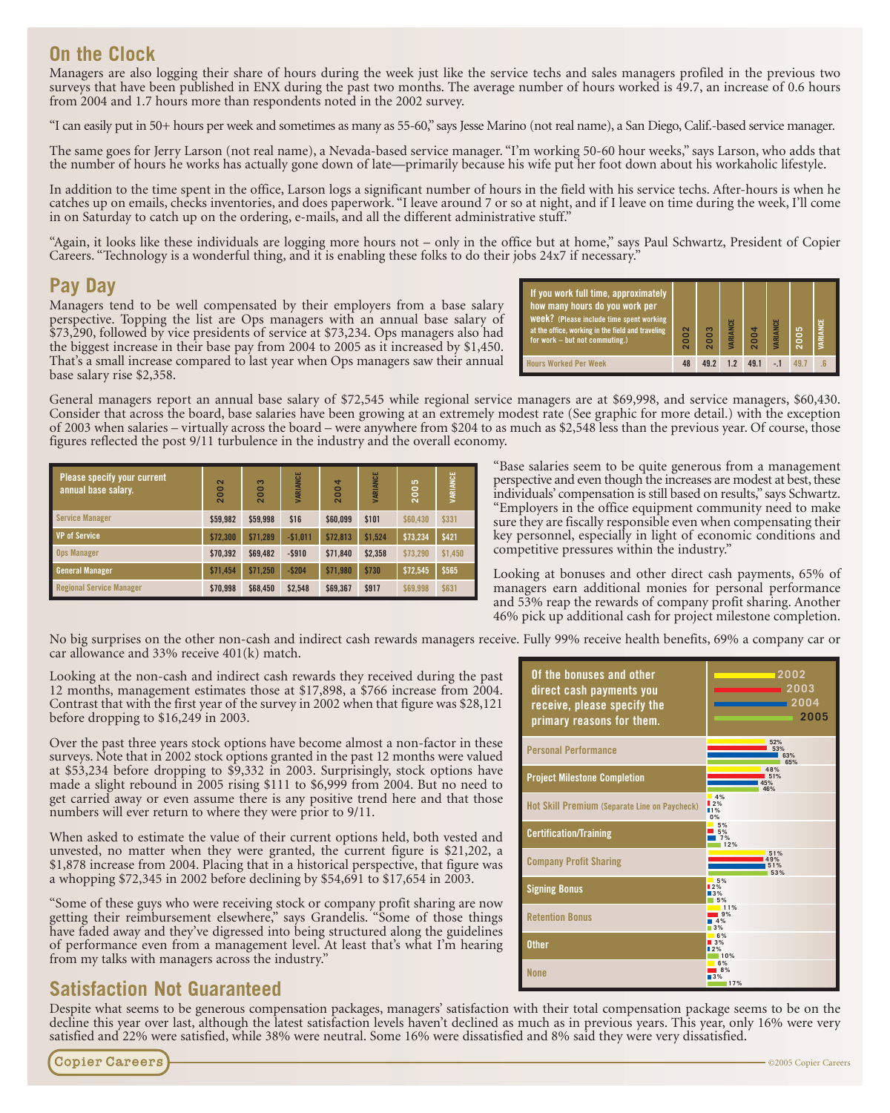## **On the Clock**

Managers are also logging their share of hours during the week just like the service techs and sales managers profiled in the previous two surveys that have been published in ENX during the past two months. The average number of hours worked is 49.7, an increase of 0.6 hours from 2004 and 1.7 hours more than respondents noted in the 2002 survey.

"I can easily put in 50+ hours per week and sometimes as many as 55-60," says Jesse Marino (not real name), a San Diego, Calif.-based service manager.

The same goes for Jerry Larson (not real name), a Nevada-based service manager. "I'm working 50-60 hour weeks," says Larson, who adds that the number of hours he works has actually gone down of late—primarily because his wife put her foot down about his workaholic lifestyle.

In addition to the time spent in the office, Larson logs a significant number of hours in the field with his service techs. After-hours is when he catches up on emails, checks inventories, and does paperwork. "I leave around 7 or so at night, and if I leave on time during the week, I'll come in on Saturday to catch up on the ordering, e-mails, and all the different administrative stuff."

"Again, it looks like these individuals are logging more hours not – only in the office but at home," says Paul Schwartz, President of Copier Careers. "Technology is a wonderful thing, and it is enabling these folks to do their jobs 24x7 if necessary."

## **Pay Day**

Managers tend to be well compensated by their employers from a base salary perspective. Topping the list are Ops managers with an annual base salary of \$73,290, followed by vice presidents of service at \$73,234. Ops managers also had the biggest increase in their base pay from 2004 to 2005 as it increased by \$1,450. That's a small increase compared to last year when Ops managers saw their annual base salary rise \$2,358.

| If you work full time, approximately<br>how many hours do you work per<br><b>Week?</b> (Please include time spent working<br>at the office, working in the field and traveling<br>for work - but not commuting.) | $\overline{\mathbf{c}}$<br>0<br>$\bar{\mathbf{c}}$ | ຶ<br>0 | <b><i>IARIANCE</i></b> |     | VARIANCE | 2005 | <b><i>IARIANCE</i></b> |
|------------------------------------------------------------------------------------------------------------------------------------------------------------------------------------------------------------------|----------------------------------------------------|--------|------------------------|-----|----------|------|------------------------|
| <b>Hours Worked Per Week</b>                                                                                                                                                                                     | 48                                                 | 492    | 1.2                    | 491 |          |      |                        |

General managers report an annual base salary of \$72,545 while regional service managers are at \$69,998, and service managers, \$60,430. Consider that across the board, base salaries have been growing at an extremely modest rate (See graphic for more detail.) with the exception of 2003 when salaries – virtually across the board – were anywhere from \$204 to as much as \$2,548 less than the previous year. Of course, those figures reflected the post 9/11 turbulence in the industry and the overall economy.

| <b>Please specify your current</b><br>annual base salary. | ខ<br>$\overline{20}$ | 2003     | VARIANCE  | 2004     | VARIANCE | ဒိ<br>$\frac{1}{2}$ | VARIANCE |
|-----------------------------------------------------------|----------------------|----------|-----------|----------|----------|---------------------|----------|
| <b>Service Manager</b>                                    | \$59.982             | \$59.998 | \$16      | \$60.099 | \$101    | \$60,430            | \$331    |
| <b>VP</b> of Service                                      | \$72.300             | \$71.289 | $-$1.011$ | \$72.813 | \$1.524  | \$73,234            | \$421    |
| <b>Ops Manager</b>                                        | \$70.392             | \$69,482 | $-$ \$910 | \$71.840 | \$2.358  | \$73.290            | \$1,450  |
| <b>General Manager</b>                                    | \$71.454             | \$71.250 | $-5204$   | \$71.980 | \$730    | \$72,545            | \$565    |
| <b>Regional Service Manager</b>                           | \$70,998             | \$68,450 | \$2.548   | \$69,367 | \$917    | \$69,998            | \$631    |

"Base salaries seem to be quite generous from a management perspective and even though the increases are modest at best, these individuals' compensation is still based on results," says Schwartz. "Employers in the office equipment community need to make sure they are fiscally responsible even when compensating their key personnel, especially in light of economic conditions and competitive pressures within the industry."

Looking at bonuses and other direct cash payments, 65% of managers earn additional monies for personal performance and 53% reap the rewards of company profit sharing. Another 46% pick up additional cash for project milestone completion.

No big surprises on the other non-cash and indirect cash rewards managers receive. Fully 99% receive health benefits, 69% a company car or car allowance and 33% receive 401(k) match.

Looking at the non-cash and indirect cash rewards they received during the past 12 months, management estimates those at \$17,898, a \$766 increase from 2004. Contrast that with the first year of the survey in 2002 when that figure was \$28,121 before dropping to \$16,249 in 2003.

Over the past three years stock options have become almost a non-factor in these surveys. Note that in 2002 stock options granted in the past 12 months were valued at \$53,234 before dropping to \$9,332 in 2003. Surprisingly, stock options have made a slight rebound in 2005 rising \$111 to \$6,999 from 2004. But no need to get carried away or even assume there is any positive trend here and that those numbers will ever return to where they were prior to 9/11.

When asked to estimate the value of their current options held, both vested and unvested, no matter when they were granted, the current figure is \$21,202, a \$1,878 increase from 2004. Placing that in a historical perspective, that figure was a whopping \$72,345 in 2002 before declining by \$54,691 to \$17,654 in 2003.

"Some of these guys who were receiving stock or company profit sharing are now getting their reimbursement elsewhere," says Grandelis. "Some of those things have faded away and they've digressed into being structured along the guidelines of performance even from a management level. At least that's what I'm hearing from my talks with managers across the industry."

## **Satisfaction Not Guaranteed**

Despite what seems to be generous compensation packages, managers' satisfaction with their total compensation package seems to be on the decline this year over last, although the latest satisfaction levels haven't declined as much as in previous years. This year, only 16% were very satisfied and 22% were satisfied, while 38% were neutral. Some 16% were dissatisfied and 8% said they were very dissatisfied.

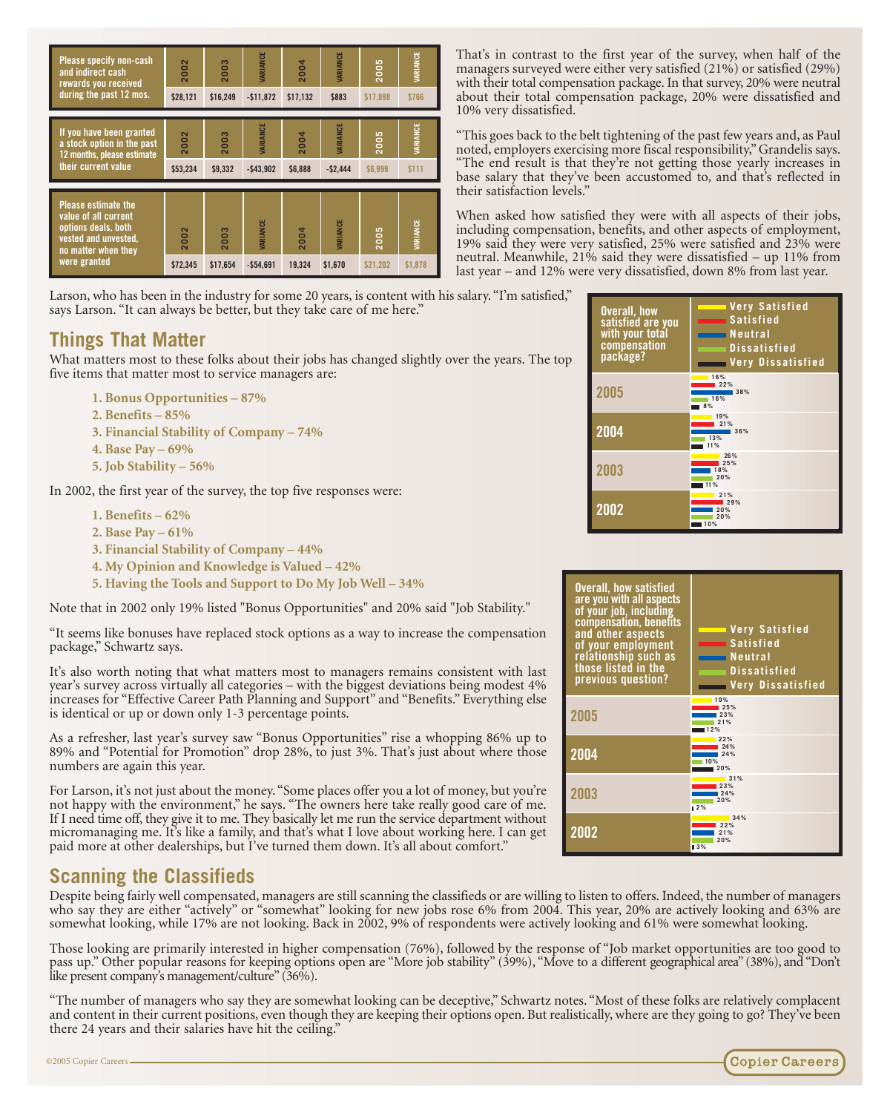| Please specify non-cash<br>and indirect cash<br>rewards you received<br>during the past 12 mos.                                          | 2002<br>\$28.121 | S<br>200<br>\$16.249             | <b>IARIANCE</b><br>$-$11.872$ | 2004<br>\$17.132 | <b>IARIANCE</b><br>\$883            | 2005<br>\$17.898 | <b><i><u>IARIANCE</u></i></b><br>\$766 |
|------------------------------------------------------------------------------------------------------------------------------------------|------------------|----------------------------------|-------------------------------|------------------|-------------------------------------|------------------|----------------------------------------|
| If you have been granted<br>a stock option in the past<br>12 months, please estimate<br>their current value                              | 2002<br>\$53,234 | 80<br>$\overline{20}$<br>\$9.332 | <b>IARIANCE</b><br>$-$43,902$ | 2004<br>\$6.888  | <b><i>IARIANCE</i></b><br>$-52.444$ | 2005<br>\$6,999  | VARIANCE<br>\$111                      |
| <b>Please estimate the</b><br>value of all current<br>options deals, both<br>vested and unvested,<br>no matter when they<br>were granted | 2002<br>\$72,345 | 2003<br>\$17.654                 | VARIANCE<br>$-$54.691$        | 2004<br>19.324   | <b><i>IARIANCE</i></b><br>\$1.670   | 2005<br>\$21.202 | VARIANCE<br>\$1.878                    |

Larson, who has been in the industry for some 20 years, is content with his salary. "I'm satisfied," says Larson. "It can always be better, but they take care of me here."

## **Things That Matter**

What matters most to these folks about their jobs has changed slightly over the years. The top five items that matter most to service managers are:

- **1. Bonus Opportunities 87%**
- **2. Benefits 85%**
- **3. Financial Stability of Company 74%**
- **4. Base Pay 69%**
- **5. Job Stability 56%**

In 2002, the first year of the survey, the top five responses were:

- **1. Benefits 62%**
- **2. Base Pay 61%**
- **3. Financial Stability of Company 44%**
- **4. My Opinion and Knowledge is Valued 42%**
- **5. Having the Tools and Support to Do My Job Well 34%**

Note that in 2002 only 19% listed "Bonus Opportunities" and 20% said "Job Stability."

"It seems like bonuses have replaced stock options as a way to increase the compensation package," Schwartz says.

It's also worth noting that what matters most to managers remains consistent with last year's survey across virtually all categories – with the biggest deviations being modest 4% increases for "Effective Career Path Planning and Support" and "Benefits." Everything else is identical or up or down only 1-3 percentage points.

As a refresher, last year's survey saw "Bonus Opportunities" rise a whopping 86% up to 89% and "Potential for Promotion" drop 28%, to just 3%. That's just about where those numbers are again this year.

For Larson, it's not just about the money. "Some places offer you a lot of money, but you're not happy with the environment," he says. "The owners here take really good care of me. If I need time off, they give it to me. They basically let me run the service department without micromanaging me. It's like a family, and that's what I love about working here. I can get paid more at other dealerships, but I've turned them down. It's all about comfort."

### **Scanning the Classifieds**

Despite being fairly well compensated, managers are still scanning the classifieds or are willing to listen to offers. Indeed, the number of managers who say they are either "actively" or "somewhat" looking for new jobs rose 6% from 2004. This year, 20% are actively looking and 63% are somewhat looking, while 17% are not looking. Back in 2002, 9% of respondents were actively looking and 61% were somewhat looking.

Those looking are primarily interested in higher compensation (76%), followed by the response of "Job market opportunities are too good to pass up." Other popular reasons for keeping options open are "More job stability" (39%), "Move to a different geographical area" (38%), and "Don't like present company's management/culture" (36%).

"The number of managers who say they are somewhat looking can be deceptive," Schwartz notes. "Most of these folks are relatively complacent and content in their current positions, even though they are keeping their options open. But realistically, where are they going to go? They've been there 24 years and their salaries have hit the ceiling."

**Overall, how satisfied are you with your total compensation package? 2005 2004 2003 2002 Very Satisfied Satisfied Neutral Dissatisfied Very Dissatisfied 21% 29% 20% 20% 10% 16% 22% 38% 16% 8% 19% 21% 36% 13% 11% 26% 25% 18% 20% 11%**

That's in contrast to the first year of the survey, when half of the managers surveyed were either very satisfied (21%) or satisfied (29%) with their total compensation package. In that survey, 20% were neutral about their total compensation package, 20% were dissatisfied and

"This goes back to the belt tightening of the past few years and, as Paul noted, employers exercising more fiscal responsibility," Grandelis says. "The end result is that they're not getting those yearly increases in base salary that they've been accustomed to, and that's reflected in

When asked how satisfied they were with all aspects of their jobs, including compensation, benefits, and other aspects of employment, 19% said they were very satisfied, 25% were satisfied and 23% were neutral. Meanwhile, 21% said they were dissatisfied – up 11% from last year – and 12% were very dissatisfied, down 8% from last year.

10% very dissatisfied.

their satisfaction levels.'



**Copier Careers** 

©2005 Copier Careers